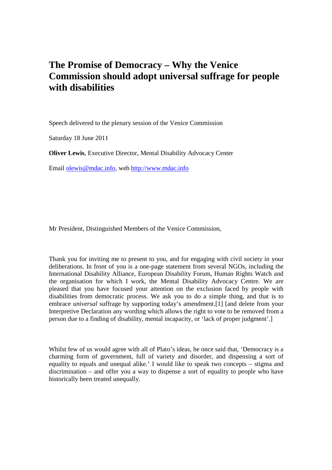## **The Promise of Democracy – Why the Venice Commission should adopt universal suffrage for people with disabilities**

Speech delivered to the plenary session of the Venice Commission

Saturday 18 June 2011

**Oliver Lewis**, Executive Director, Mental Disability Advocacy Center

Email olewis@mdac.info, web http://www.mdac.info

Mr President, Distinguished Members of the Venice Commission,

Thank you for inviting me to present to you, and for engaging with civil society in your deliberations. In front of you is a one-page statement from several NGOs, including the International Disability Alliance, European Disability Forum, Human Rights Watch and the organisation for which I work, the Mental Disability Advocacy Centre. We are pleased that you have focused your attention on the exclusion faced by people with disabilities from democratic process. We ask you to do a simple thing, and that is to embrace *universal* suffrage by supporting today's amendment.[1] [and delete from your Interpretive Declaration any wording which allows the right to vote to be removed from a person due to a finding of disability, mental incapacity, or 'lack of proper judgment'.]

Whilst few of us would agree with all of Plato's ideas, he once said that, 'Democracy is a charming form of government, full of variety and disorder, and dispensing a sort of equality to equals and unequal alike.' I would like to speak two concepts – stigma and discrimination – and offer you a way to dispense a sort of equality to people who have historically been treated unequally.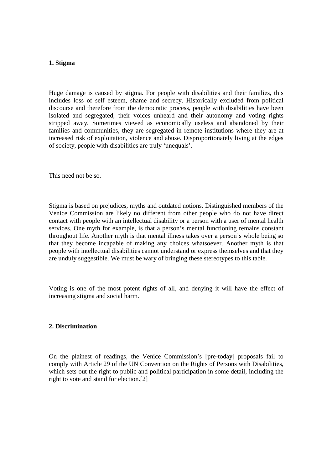## **1. Stigma**

Huge damage is caused by stigma. For people with disabilities and their families, this includes loss of self esteem, shame and secrecy. Historically excluded from political discourse and therefore from the democratic process, people with disabilities have been isolated and segregated, their voices unheard and their autonomy and voting rights stripped away. Sometimes viewed as economically useless and abandoned by their families and communities, they are segregated in remote institutions where they are at increased risk of exploitation, violence and abuse. Disproportionately living at the edges of society, people with disabilities are truly 'unequals'.

This need not be so.

Stigma is based on prejudices, myths and outdated notions. Distinguished members of the Venice Commission are likely no different from other people who do not have direct contact with people with an intellectual disability or a person with a user of mental health services. One myth for example, is that a person's mental functioning remains constant throughout life. Another myth is that mental illness takes over a person's whole being so that they become incapable of making any choices whatsoever. Another myth is that people with intellectual disabilities cannot understand or express themselves and that they are unduly suggestible. We must be wary of bringing these stereotypes to this table.

Voting is one of the most potent rights of all, and denying it will have the effect of increasing stigma and social harm.

## **2. Discrimination**

On the plainest of readings, the Venice Commission's [pre-today] proposals fail to comply with Article 29 of the UN Convention on the Rights of Persons with Disabilities, which sets out the right to public and political participation in some detail, including the right to vote and stand for election.[2]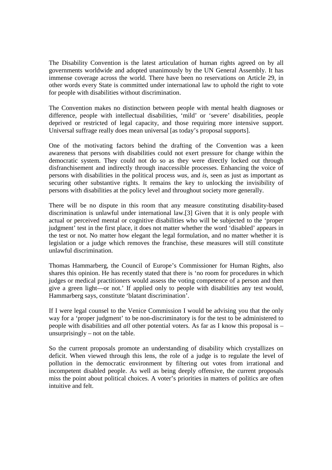The Disability Convention is the latest articulation of human rights agreed on by all governments worldwide and adopted unanimously by the UN General Assembly. It has immense coverage across the world. There have been no reservations on Article 29, in other words every State is committed under international law to uphold the right to vote for people with disabilities without discrimination.

The Convention makes no distinction between people with mental health diagnoses or difference, people with intellectual disabilities, 'mild' or 'severe' disabilities, people deprived or restricted of legal capacity, and those requiring more intensive support. Universal suffrage really does mean universal [as today's proposal supports].

One of the motivating factors behind the drafting of the Convention was a keen awareness that persons with disabilities could not exert pressure for change within the democratic system. They could not do so as they were directly locked out through disfranchisement and indirectly through inaccessible processes. Enhancing the voice of persons with disabilities in the political process *was*, and *is*, seen as just as important as securing other substantive rights. It remains the key to unlocking the invisibility of persons with disabilities at the policy level and throughout society more generally.

There will be no dispute in this room that any measure constituting disability-based discrimination is unlawful under international law.[3] Given that it is only people with actual or perceived mental or cognitive disabilities who will be subjected to the 'proper judgment' test in the first place, it does not matter whether the word 'disabled' appears in the test or not. No matter how elegant the legal formulation, and no matter whether it is legislation or a judge which removes the franchise, these measures will still constitute unlawful discrimination.

Thomas Hammarberg, the Council of Europe's Commissioner for Human Rights, also shares this opinion. He has recently stated that there is 'no room for procedures in which judges or medical practitioners would assess the voting competence of a person and then give a green light—or not.' If applied only to people with disabilities any test would, Hammarberg says, constitute 'blatant discrimination'.

If I were legal counsel to the Venice Commission I would be advising you that the only way for a 'proper judgment' to be non-discriminatory is for the test to be administered to people with disabilities and *all* other potential voters. As far as I know this proposal is – unsurprisingly – not on the table.

So the current proposals promote an understanding of disability which crystallizes on deficit. When viewed through this lens, the role of a judge is to regulate the level of pollution in the democratic environment by filtering out votes from irrational and incompetent disabled people. As well as being deeply offensive, the current proposals miss the point about political choices. A voter's priorities in matters of politics are often intuitive and felt.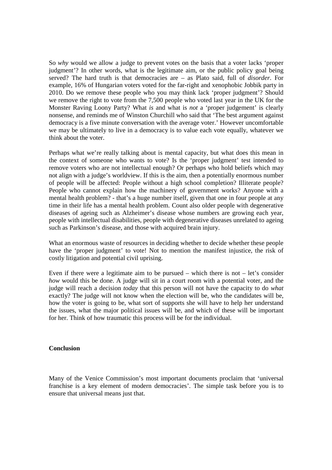So *why* would we allow a judge to prevent votes on the basis that a voter lacks 'proper judgment'? In other words, what is the legitimate aim, or the public policy goal being served? The hard truth is that democracies are – as Plato said, full of *disorder*. For example, 16% of Hungarian voters voted for the far-right and xenophobic Jobbik party in 2010. Do we remove these people who you may think lack 'proper judgment'? Should we remove the right to vote from the 7,500 people who voted last year in the UK for the Monster Raving Loony Party? What *is* and what is *not* a 'proper judgement' is clearly nonsense, and reminds me of Winston Churchill who said that 'The best argument against democracy is a five minute conversation with the average voter.' However uncomfortable we may be ultimately to live in a democracy is to value each vote equally, whatever we think about the voter.

Perhaps what we're really talking about is mental capacity, but what does this mean in the context of someone who wants to vote? Is the 'proper judgment' test intended to remove voters who are not intellectual enough? Or perhaps who hold beliefs which may not align with a judge's worldview. If this is the aim, then a potentially enormous number of people will be affected: People without a high school completion? Illiterate people? People who cannot explain how the machinery of government works? Anyone with a mental health problem? - that's a huge number itself, given that one in four people at any time in their life has a mental health problem. Count also older people with degenerative diseases of ageing such as Alzheimer's disease whose numbers are growing each year, people with intellectual disabilities, people with degenerative diseases unrelated to ageing such as Parkinson's disease, and those with acquired brain injury.

What an enormous waste of resources in deciding whether to decide whether these people have the 'proper judgment' to vote! Not to mention the manifest injustice, the risk of costly litigation and potential civil uprising.

Even if there were a legitimate aim to be pursued – which there is not – let's consider *how* would this be done. A judge will sit in a court room with a potential voter, and the judge will reach a decision *today* that this person will not have the capacity to do *what* exactly? The judge will not know when the election will be, who the candidates will be, how the voter is going to be, what sort of supports she will have to help her understand the issues, what the major political issues will be, and which of these will be important for her. Think of how traumatic this process will be for the individual.

## **Conclusion**

Many of the Venice Commission's most important documents proclaim that 'universal franchise is a key element of modern democracies'. The simple task before you is to ensure that universal means just that.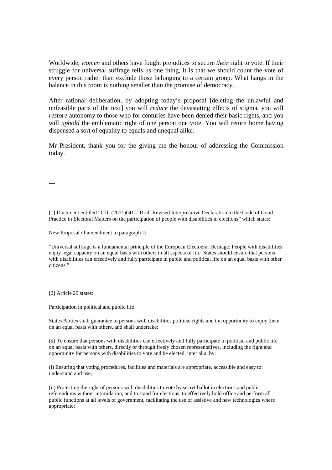Worldwide, *women* and others have fought prejudices to secure *their* right to vote. If their struggle for universal suffrage tells us one thing, it is that we should count the vote of every person rather than exclude those belonging to a certain group. What hangs in the balance in this room is nothing smaller than the promise of democracy.

After rational deliberation, by adopting today's proposal [deleting the unlawful and unfeasible parts of the text] you will *reduce* the devastating effects of stigma, you will *restore* autonomy to those who for centuries have been denied their basic rights, and you will *uphold* the emblematic right of one person one vote. You will return home having dispensed a sort of equality to equals and unequal alike.

Mr President, thank you for the giving me the honour of addressing the Commission today.

**---**

[1] Document entitled "CDL(2011)041 – Draft Revised Interpretative Declaration to the Code of Good Practice in Electoral Matters on the participation of people with disabilities in elections" which states:

New Proposal of amendment to paragraph 2:

"Universal suffrage is a fundamental principle of the European Electoeral Heritage. People with disabilities enjoy legal capacity on an equal basis with others in all aspects of life. States should ensure that persons with disabilities can effectively and fully participate in public and political life on an equal basis with other citizens."

[2] Article 29 states:

Participation in political and public life

States Parties shall guarantee to persons with disabilities political rights and the opportunity to enjoy them on an equal basis with others, and shall undertake:

(*a*) To ensure that persons with disabilities can effectively and fully participate in political and public life on an equal basis with others, directly or through freely chosen representatives, including the right and opportunity for persons with disabilities to vote and be elected, inter alia, by:

(i) Ensuring that voting procedures, facilities and materials are appropriate, accessible and easy to understand and use;

(ii) Protecting the right of persons with disabilities to vote by secret ballot in elections and public referendums without intimidation, and to stand for elections, to effectively hold office and perform all public functions at all levels of government, facilitating the use of assistive and new technologies where appropriate;